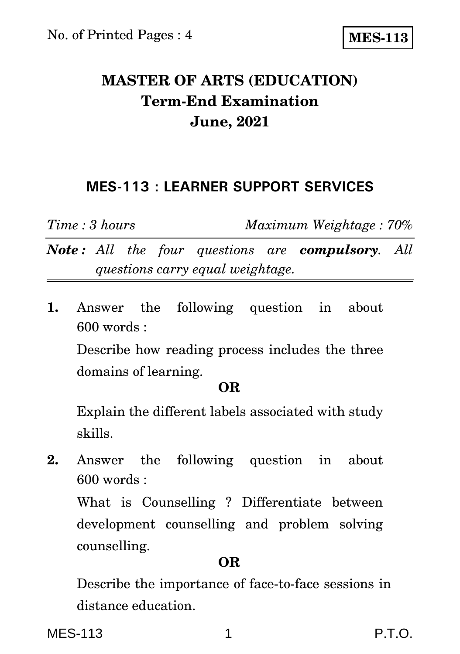# **MASTER OF ARTS (EDUCATION) Term-End Examination June, 2021**

### **MES-113 : LEARNER SUPPORT SERVICES**

*Time : 3 hours Maximum Weightage : 70%*

*Note : All the four questions are compulsory. All questions carry equal weightage.*

**1.** Answer the following question in about 600 words :

Describe how reading process includes the three domains of learning.

#### **OR**

Explain the different labels associated with study skills.

**2.** Answer the following question in about 600 words :

What is Counselling ? Differentiate between development counselling and problem solving counselling.

#### **OR**

Describe the importance of face-to-face sessions in distance education.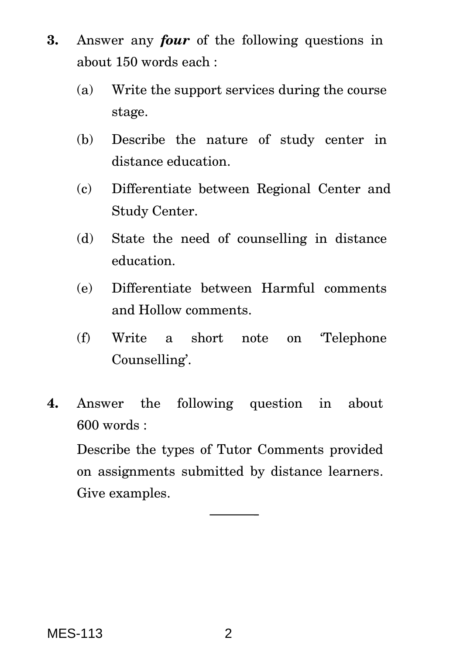- **3.** Answer any *four* of the following questions in about 150 words each :
	- (a) Write the support services during the course stage.
	- (b) Describe the nature of study center in distance education.
	- (c) Differentiate between Regional Center and Study Center.
	- (d) State the need of counselling in distance education.
	- (e) Differentiate between Harmful comments and Hollow comments.
	- (f) Write a short note on 'Telephone Counselling'.
- **4.** Answer the following question in about 600 words :

Describe the types of Tutor Comments provided on assignments submitted by distance learners. Give examples.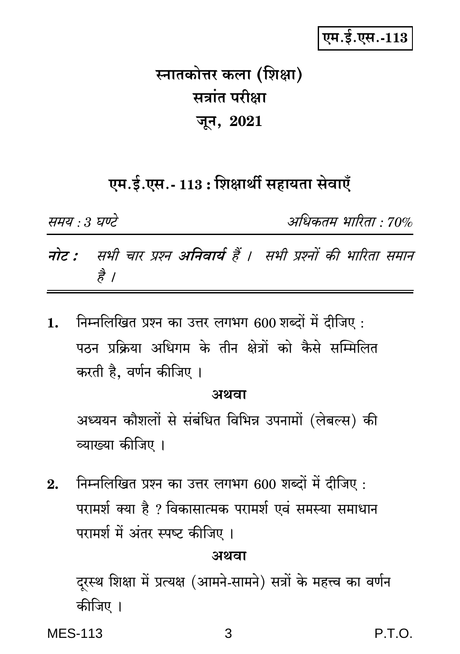# एम.ई.एस.-113

# स्नातकोत्तर कला (शिक्षा) सत्रांत परीक्षा जून, 2021

# एम.ई.एस.- 113 : शिक्षार्थी सहायता सेवाएँ

समय : 3 घण्टे अधिकतम भारिता : 70% नोट : सभी चार प्रश्न अनिवार्य हैं । सभी प्रश्नों की भारिता समान

निम्नलिखित प्रश्न का उत्तर लगभग 600 शब्दों में दीजिए :  $\mathbf{1}$ . पठन प्रक्रिया अधिगम के तीन क्षेत्रों को कैसे सम्मिलित करती है, वर्णन कीजिए ।

### अथवा

अध्ययन कौशलों से संबंधित विभिन्न उपनामों (लेबल्स) की व्याख्या कीजिए ।

निम्नलिखित प्रश्न का उत्तर लगभग 600 शब्दों में दीजिए :  $9<sub>1</sub>$ परामर्श क्या है ? विकासात्मक परामर्श एवं समस्या समाधान परामर्श में अंतर स्पष्ट कीजिए ।

#### अथवा

दरस्थ शिक्षा में प्रत्यक्ष (आमने-सामने) सत्रों के महत्त्व का वर्णन कीजिए ।

**MES-113** 

है ।